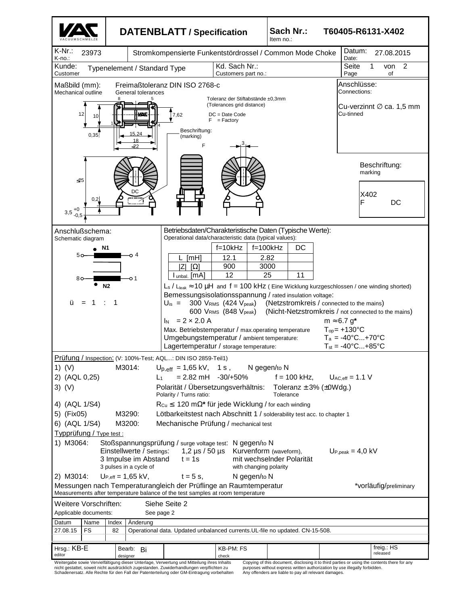

nicht gestattet, soweit nicht ausdrücklich zugestanden. Zuwiderhandlungen verpflichten zu Schadenersatz. Alle Rechte für den Fall der Patenterteilung oder GM-Eintragung vorbehalten

Copying of this document, disclosing it to third parties or using the contents there for any purposes without express written authorization by use illegally forbidden. Any offenders are liable to pay all relevant damages.